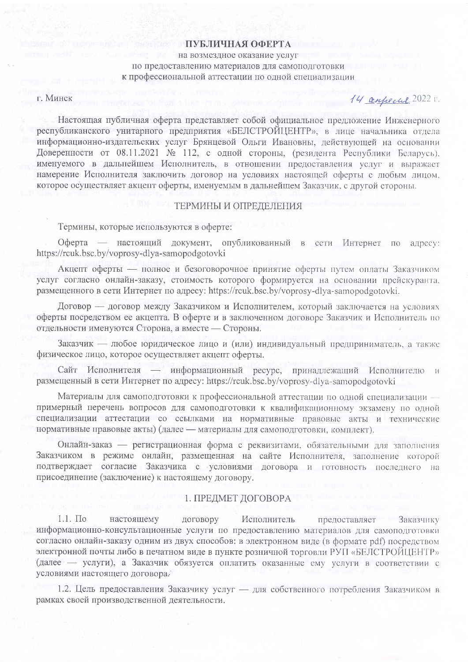### ПУБЛИЧНАЯ ОФЕРТА

на возмездное оказание услуг по предоставлению материалов для самоподготовки к профессиональной аттестации по одной специализации

г. Минск

# 14 стресие 2022 г.

Настоящая публичная оферта представляет собой официальное предложение Инженерного республиканского унитарного предприятия «БЕЛСТРОЙЦЕНТР», в лице начальника отдела информационно-издательских услуг Брянцевой Ольги Ивановны, действующей на основании Доверенности от 08.11.2021 № 112, с одной стороны, (резидента Республики Беларусь), именуемого в дальнейшем Исполнитель, в отношении предоставления услуг и выражает намерение Исполнителя заключить договор на условиях настоящей оферты с любым лицом, которое осуществляет акцепт оферты, именуемым в дальнейшем Заказчик, с другой стороны.

# ТЕРМИНЫ И ОПРЕДЕЛЕНИЯ

Термины, которые используются в оферте:

Оферта — настоящий документ, опубликованный в сети Интернет по адресу: https://rcuk.bsc.by/voprosy-dlya-samopodgotovki

Акцепт оферты - полное и безоговорочное принятие оферты путем оплаты Заказчиком услуг согласно онлайн-заказу, стоимость которого формируется на основании прейскуранта, размещенного в сети Интернет по адресу: https://rcuk.bsc.by/voprosy-dlya-samopodgotovki.

Договор — договор между Заказчиком и Исполнителем, который заключается на условиях оферты посредством ее акцепта. В оферте и в заключенном договоре Заказчик и Исполнитель по отдельности именуются Сторона, а вместе - Стороны.

Заказчик — любое юридическое лицо и (или) индивидуальный предприниматель, а также физическое лицо, которое осуществляет акцепт оферты.

Сайт Исполнителя - информационный ресурс, принадлежащий Исполнителю  $|V|$ размещенный в сети Интернет по адресу: https://rcuk.bsc.by/voprosy-dlya-samopodgotovki

Материалы для самоподготовки к профессиональной аттестации по одной специализации примерный перечень вопросов для самоподготовки к квалификационному экзамену по одной специализации аттестации со ссылками на нормативные правовые акты и технические нормативные правовые акты) (далее - материалы для самоподготовки, комплект).

Онлайн-заказ — регистрационная форма с реквизитами, обязательными для заполнения Заказчиком в режиме онлайн, размещенная на сайте Исполнителя, заполнение которой подтверждает согласие Заказчика с условиями договора и готовность последнего на присоединение (заключение) к настоящему договору.

## 1. ПРЕДМЕТ ДОГОВОРА

 $1.1.$   $\Pi$ <sup>o</sup> настоящему договору Исполнитель предоставляет Заказчику информационно-консультационные услуги по предоставлению материалов для самоподготовки согласно онлайн-заказу одним из двух способов: в электронном виде (в формате pdf) посредством электронной почты либо в печатном виде в пункте розничной торговли РУП «БЕЛСТРОЙЦЕНТР» (далее - услуги), а Заказчик обязуется оплатить оказанные ему услуги в соответствии с условиями настоящего договора.

1.2. Цель предоставления Заказчику услуг - для собственного потребления Заказчиком в рамках своей производственной деятельности.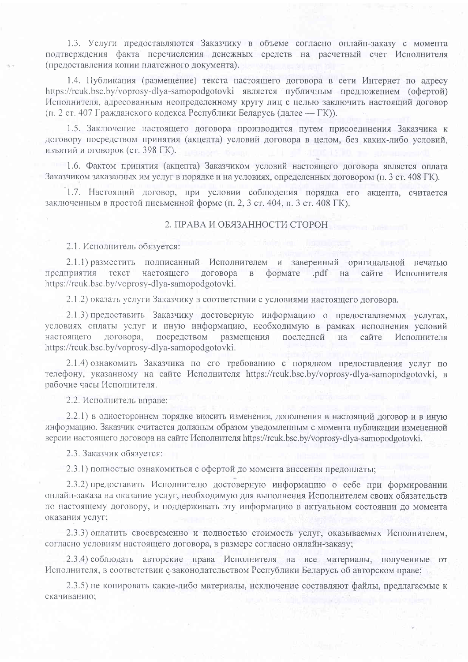1.3. Услуги предоставляются Заказчику в объеме согласно онлайн-заказу с момента подтверждения факта перечисления денежных средств на расчетный счет Исполнителя (предоставления копии платежного документа).

1.4. Публикация (размещение) текста настоящего договора в сети Интернет по адресу https://rcuk.bsc.by/voprosy-dlya-samopodgotovki является публичным предложением (офертой) Исполнителя, адресованным неопределенному кругу лиц с целью заключить настоящий договор (п. 2 ст. 407 Гражданского кодекса Республики Беларусь (далее — ГК)).

1.5. Заключение настоящего договора производится путем присоединения Заказчика к договору посредством принятия (акцепта) условий договора в целом, без каких-либо условий, изъятий и оговорок (ст. 398 ГК).

1.6. Фактом принятия (акцепта) Заказчиком условий настоящего договора является оплата Заказчиком заказанных им услуг в порядке и на условиях, определенных договором (п. 3 ст. 408 ГК).

1.7. Настоящий договор, при условии соблюдения порядка его акцепта, считается заключенным в простой письменной форме (п. 2, 3 ст. 404, п. 3 ст. 408 ГК).

# 2. ПРАВА И ОБЯЗАННОСТИ СТОРОН

2.1. Исполнитель обязуется:

2.1.1) разместить подписанный Исполнителем и заверенный оригинальной печатью предприятия текст настоящего договора  $\overline{B}$ формате .pdf сайте Исполнителя на https://rcuk.bsc.by/voprosy-dlya-samopodgotovki.

2.1.2) оказать услуги Заказчику в соответствии с условиями настоящего договора.

2.1.3) предоставить Заказчику достоверную информацию о предоставляемых услугах, условиях оплаты услуг и иную информацию, необходимую в рамках исполнения условий настоящего договора. посредством размещения последней сайте Исполнителя на https://rcuk.bsc.by/voprosy-dlya-samopodgotovki.

2.1.4) ознакомить Заказчика по его требованию с порядком предоставления услуг по телефону, указанному на сайте Исполнителя https://rcuk.bsc.by/voprosy-dlya-samopodgotovki, в рабочие часы Исполнителя.

2.2. Исполнитель вправе:

2.2.1) в одностороннем порядке вносить изменения, дополнения в настоящий договор и в иную информацию. Заказчик считается должным образом уведомленным с момента публикации измененной версии настоящего договора на сайте Исполнителя https://rcuk.bsc.by/voprosy-dlya-samopodgotovki.

2.3. Заказчик обязуется:

2.3.1) полностью ознакомиться с офертой до момента внесения предоплаты;

2.3.2) предоставить Исполнителю достоверную информацию о себе при формировании онлайн-заказа на оказание услуг, необходимую для выполнения Исполнителем своих обязательств по настоящему договору, и поддерживать эту информацию в актуальном состоянии до момента оказания услуг;

2.3.3) оплатить своевременно и полностью стоимость услуг, оказываемых Исполнителем, согласно условиям настоящего договора, в размере согласно онлайн-заказу;

2.3.4) соблюдать авторские права Исполнителя на все материалы, полученные от Исполнителя, в соответствии с законодательством Республики Беларусь об авторском праве;

2.3.5) не копировать какие-либо материалы, исключение составляют файлы, предлагаемые к скачиванию: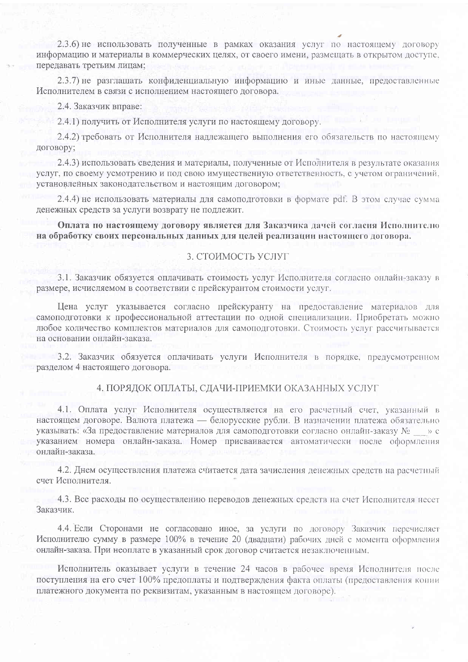2.3.6) не использовать полученные в рамках оказания услуг по настоящему договору информацию и материалы в коммерческих целях, от своего имени, размещать в открытом доступе, передавать третьим лицам:

2.3.7) не разглашать конфиденциальную информацию и иные данные, предоставленные Исполнителем в связи с исполнением настоящего договора.

2.4. Заказчик вправе:

2.4.1) получить от Исполнителя услуги по настоящему договору.

2.4.2) требовать от Исполнителя надлежащего выполнения его обязательств по настоящему договору;

2.4.3) использовать сведения и материалы, полученные от Исполнителя в результате оказания услуг, по своему усмотрению и под свою имущественную ответственность, с учетом ограничений. установленных законодательством и настоящим договором;

2.4.4) не использовать материалы для самоподготовки в формате pdf. В этом случае сумма денежных средств за услуги возврату не подлежит.

Оплата по настоящему договору является для Заказчика дачей согласия Исполнителю на обработку своих персональных данных для целей реализации настоящего договора.

## 3. СТОИМОСТЬ УСЛУГ

3.1. Заказчик обязуется оплачивать стоимость услуг Исполнителя согласно онлайн-заказу в размере, исчисляемом в соответствии с прейскурантом стоимости услуг.

Цена услуг указывается согласно прейскуранту на предоставление материалов для самоподготовки к профессиональной аттестации по одной специализации. Приобретать можно любое количество комплектов материалов для самоподготовки. Стоимость услуг рассчитывается на основании онлайн-заказа.

3.2. Заказчик обязуется оплачивать услуги Исполнителя в порядке, предусмотренном разделом 4 настоящего договора.

# 4. ПОРЯДОК ОПЛАТЫ, СДАЧИ-ПРИЕМКИ ОКАЗАННЫХ УСЛУГ

4.1. Оплата услуг Исполнителя осуществляется на его расчетный счет, указанный в настоящем договоре. Валюта платежа — белорусские рубли. В назначении платежа обязательно указывать: «За предоставление материалов для самоподготовки согласно онлайн-заказу  $N_2 \rightarrow \infty$ указанием номера онлайн-заказа. Номер присваивается автоматически после оформления онлайн-заказа.

4.2. Днем осуществления платежа считается дата зачисления денежных средств на расчетный счет Исполнителя.

4.3. Все расходы по осуществлению переводов денежных средств на счет Исполнителя несет Заказчик.

4.4. Если Сторонами не согласовано иное, за услуги по договору Заказчик перечисляет Исполнителю сумму в размере 100% в течение 20 (двадцати) рабочих дней с момента оформления онлайн-заказа. При неоплате в указанный срок договор считается незаключенным.

Исполнитель оказывает услуги в течение 24 часов в рабочее время Исполнителя после поступления на его счет 100% предоплаты и подтверждения факта оплаты (предоставления копии платежного документа по реквизитам, указанным в настоящем договоре).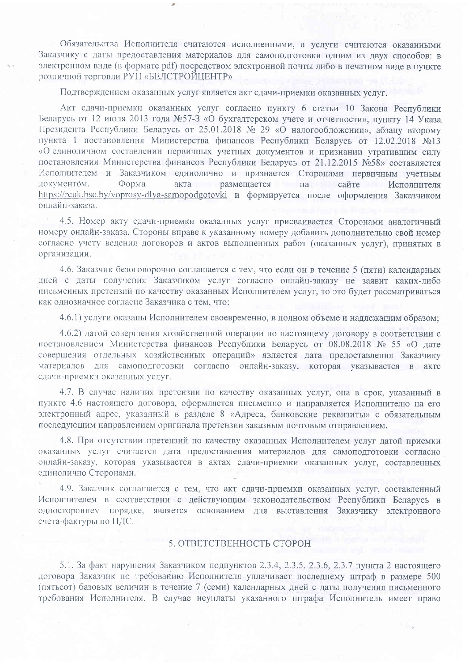Обязательства Исполнителя считаются исполненными, а услуги считаются оказанными Заказчику с даты предоставления материалов для самоподготовки одним из двух способов: в электронном виде (в формате pdf) посредством электронной почты либо в печатном виде в пункте розничной торговли РУП «БЕЛСТРОЙЦЕНТР»

Подтверждением оказанных услуг является акт сдачи-приемки оказанных услуг.

Акт сдачи-приемки оказанных услуг согласно пункту 6 статьи 10 Закона Республики Беларусь от 12 июля 2013 года №57-3 «О бухгалтерском учете и отчетности», пункту 14 Указа Президента Республики Беларусь от 25.01.2018 № 29 «О налогообложении», абзану второму пункта 1 постановления Министерства финансов Республики Беларусь от 12.02.2018 №13 «О единоличном составлении первичных учетных документов и признании утратившим силу постановления Министерства финансов Республики Беларусь от 21.12.2015 №58» составляется Исполнителем и Заказчиком единолично и признается Сторонами первичным учетным документом. Форма акта размещается на сайте Исполнителя https://rcuk.bsc.by/voprosy-dlya-samopodgotovki и формируется после оформления Заказчиком онлайн-заказа

4.5. Номер акту сдачи-приемки оказанных услуг присваивается Сторонами аналогичный номеру онлайн-заказа. Стороны вправе к указанному номеру добавить дополнительно свой номер согласно учету ведения договоров и актов выполненных работ (оказанных услуг), принятых в организации.

4.6. Заказчик безоговорочно соглашается с тем, что если он в течение 5 (пяти) календарных дней с даты получения Заказчиком услуг согласно онлайн-заказу не заявит каких-либо письменных претензий по качеству оказанных Исполнителем услуг, то это будет рассматриваться как однозначное согласие Заказчика с тем, что:

4.6.1) услуги оказаны Исполнителем своевременно, в полном объеме и надлежащим образом;

4.6.2) датой совершения хозяйственной операции по настоящему договору в соответствии с постановлением Министерства финансов Республики Беларусь от 08.08.2018 № 55 «О дате совершения отдельных хозяйственных операций» является дата предоставления Заказчику материалов для самоподготовки согласно онлайн-заказу, которая указывается в акте сдачи-приемки оказанных услуг.

4.7. В случае наличия претензии по качеству оказанных услуг, она в срок, указанный в пункте 4.6 настоящего договора, оформляется письменно и направляется Исполнителю на его электронный адрес, указанный в разделе 8 «Адреса, банковские реквизиты» с обязательным последующим направлением оригинала претензии заказным почтовым отправлением.

4.8. При отсутствии претензий по качеству оказанных Исполнителем услуг датой приемки оказанных услуг считается дата предоставления материалов для самоподготовки согласно онлайн-заказу, которая указывается в актах сдачи-приемки оказанных услуг, составленных единолично Сторонами.

4.9. Заказчик соглашается с тем, что акт сдачи-приемки оказанных услуг, составленный Исполнителем в соответствии с действующим законодательством Республики Беларусь в одностороннем порядке, является основанием для выставления Заказчику электронного счета-фактуры по НДС.

### 5. ОТВЕТСТВЕННОСТЬ СТОРОН

5.1. За факт нарушения Заказчиком подпунктов 2.3.4, 2.3.5, 2.3.6, 2.3.7 пункта 2 настоящего договора Заказчик по требованию Исполнителя уплачивает последнему штраф в размере 500 (пятьсот) базовых величин в течение 7 (семи) календарных дней с даты получения письменного требования Исполнителя. В случае неуплаты указанного штрафа Исполнитель имеет право